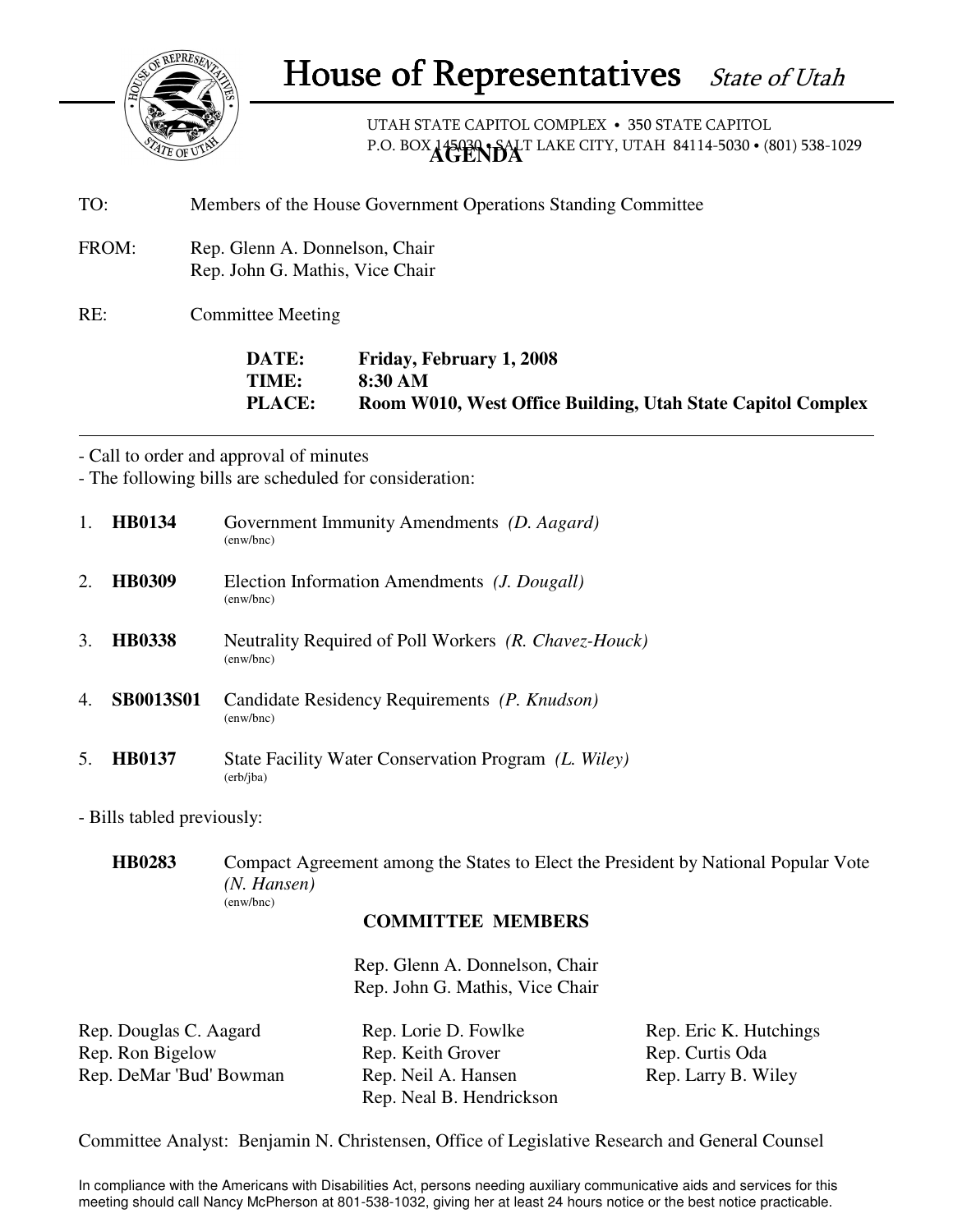

UTAH STATE CAPITOL COMPLEX • 350 STATE CAPITOL P.O. BOX 145030 · SALT LAKE CITY, UTAH 84114-5030 · (801) 538-1029

- TO: Members of the House Government Operations Standing Committee
- FROM: Rep. Glenn A. Donnelson, Chair Rep. John G. Mathis, Vice Chair

RE: Committee Meeting

**DATE: Friday, February 1, 2008 TIME: 8:30 AM PLACE: Room W010, West Office Building, Utah State Capitol Complex**

- Call to order and approval of minutes

- The following bills are scheduled for consideration:

| $\mathbf{1}$ . | <b>HB0134</b>    | Government Immunity Amendments (D. Aagard)<br>(enw/bnc)                            |
|----------------|------------------|------------------------------------------------------------------------------------|
| 2.             | <b>HB0309</b>    | Election Information Amendments ( <i>J. Dougall</i> )<br>$(\text{enw}/\text{bnc})$ |
| 3.             | <b>HB0338</b>    | Neutrality Required of Poll Workers (R. Chavez-Houck)<br>(enw/bnc)                 |
| $4_{\cdot}$    | <b>SB0013S01</b> | Candidate Residency Requirements (P. Knudson)<br>(enw/bnc)                         |
| 5.             | <b>HR0137</b>    | State Facility Water Conservation Program (L. Wiley)<br>(erb/jba)                  |

- Bills tabled previously:

**HB0283** Compact Agreement among the States to Elect the President by National Popular Vote *(N. Hansen)* (enw/bnc)

## **COMMITTEE MEMBERS**

Rep. Glenn A. Donnelson, Chair Rep. John G. Mathis, Vice Chair

| Rep. Douglas C. Aagard  | Rep. Lorie D. Fowlke     | Rep. Eric K. Hutchings |
|-------------------------|--------------------------|------------------------|
| Rep. Ron Bigelow        | Rep. Keith Grover        | Rep. Curtis Oda        |
| Rep. DeMar 'Bud' Bowman | Rep. Neil A. Hansen      | Rep. Larry B. Wiley    |
|                         | Rep. Neal B. Hendrickson |                        |

Committee Analyst: Benjamin N. Christensen, Office of Legislative Research and General Counsel

In compliance with the Americans with Disabilities Act, persons needing auxiliary communicative aids and services for this meeting should call Nancy McPherson at 801-538-1032, giving her at least 24 hours notice or the best notice practicable.